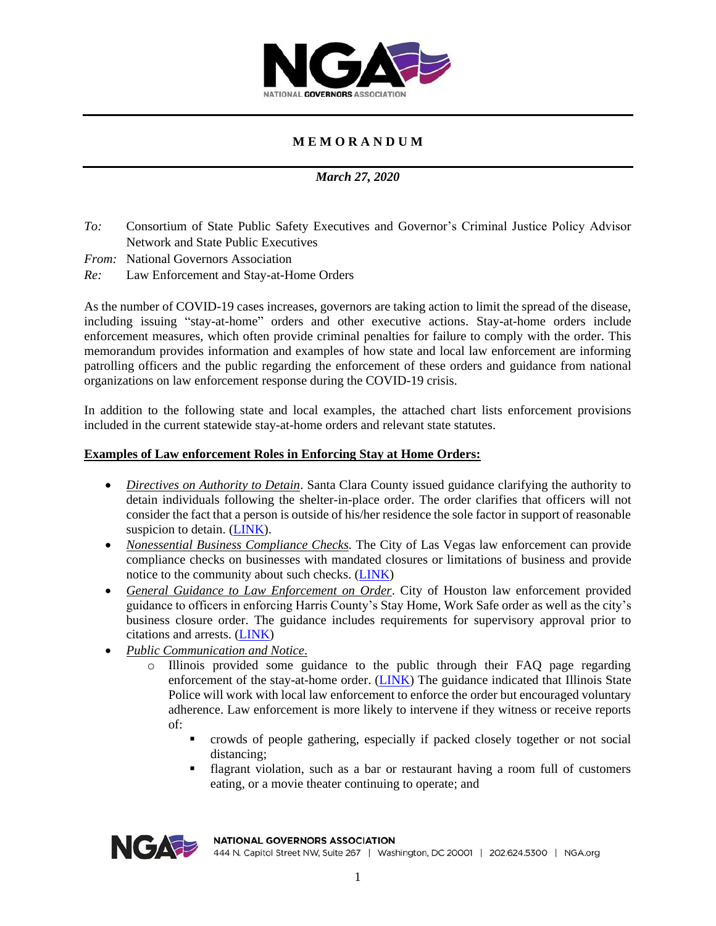

## **M E M O R A N D U M**

### *March 27, 2020*

- *To:* Consortium of State Public Safety Executives and Governor's Criminal Justice Policy Advisor Network and State Public Executives
- *From:* National Governors Association
- *Re:* Law Enforcement and Stay-at-Home Orders

As the number of COVID-19 cases increases, governors are taking action to limit the spread of the disease, including issuing "stay-at-home" orders and other executive actions. Stay-at-home orders include enforcement measures, which often provide criminal penalties for failure to comply with the order. This memorandum provides information and examples of how state and local law enforcement are informing patrolling officers and the public regarding the enforcement of these orders and guidance from national organizations on law enforcement response during the COVID-19 crisis.

In addition to the following state and local examples, the attached chart lists enforcement provisions included in the current statewide stay-at-home orders and relevant state statutes.

#### **Examples of Law enforcement Roles in Enforcing Stay at Home Orders:**

- *Directives on Authority to Detain*. Santa Clara County issued guidance clarifying the authority to detain individuals following the shelter-in-place order. The order clarifies that officers will not consider the fact that a person is outside of his/her residence the sole factor in support of reasonable suspicion to detain. [\(LINK\)](https://ngaorg1-my.sharepoint.com/personal/ngabox_nga_org/_layouts/15/onedrive.aspx?id=%2Fpersonal%2Fngabox%5Fnga%5Forg%2FDocuments%2FNGA%2FCenter%2FHSPS%2FCOVID%2D19%2FCJPA%20Network%2F2020%2D010%20Reasonable%20Suspicion%20to%20Detain%2Epdf&parent=%2Fpersonal%2Fngabox%5Fnga%5Forg%2FDocuments%2FNGA%2FCenter%2FHSPS%2FCOVID%2D19%2FCJPA%20Network&originalPath=aHR0cHM6Ly9uZ2FvcmcxLW15LnNoYXJlcG9pbnQuY29tLzpiOi9nL3BlcnNvbmFsL25nYWJveF9uZ2Ffb3JnL0VhTlg4NmFfQ0FWTGlURlBjLWlMNkZnQlVwQzl1MkxHTFE4NUo1ejBRMlJ2MVE_cnRpbWU9N3Z0XzJ4VFYxMGc).
- *Nonessential Business Compliance Checks.* The City of Las Vegas law enforcement can provide compliance checks on businesses with mandated closures or limitations of business and provide notice to the community about such checks. [\(LINK\)](https://ngaorg1-my.sharepoint.com/personal/ngabox_nga_org/_layouts/15/onedrive.aspx?id=%2Fpersonal%2Fngabox%5Fnga%5Forg%2FDocuments%2FNGA%2FCenter%2FHSPS%2FCOVID%2D19%2FCJPA%20Network%2FLVMPD%20Compliance%20Checks%2Epdf&parent=%2Fpersonal%2Fngabox%5Fnga%5Forg%2FDocuments%2FNGA%2FCenter%2FHSPS%2FCOVID%2D19%2FCJPA%20Network&originalPath=aHR0cHM6Ly9uZ2FvcmcxLW15LnNoYXJlcG9pbnQuY29tLzpiOi9nL3BlcnNvbmFsL25nYWJveF9uZ2Ffb3JnL0VSQUdVUjRpOHY5Q2d5dUJTaE16c2ZJQmdsVXFnWGVwX0hyaWdiMHdKLWZ0WkE_cnRpbWU9S253akZCWFYxMGc)
- *General Guidance to Law Enforcement on Order*. City of Houston law enforcement provided guidance to officers in enforcing Harris County's Stay Home, Work Safe order as well as the city's business closure order. The guidance includes requirements for supervisory approval prior to citations and arrests. [\(LINK\)](https://ngaorg1-my.sharepoint.com/personal/ngabox_nga_org/_layouts/15/onedrive.aspx?id=%2Fpersonal%2Fngabox%5Fnga%5Forg%2FDocuments%2FNGA%2FCenter%2FHSPS%2FCOVID%2D19%2FCJPA%20Network%2FCOP%202074385%20%2D%20HPD%20Circular%20%2D%20Enforcement%20of%20City%20%20Harris%20County%20COVID%2D19%20Orders%20%2D%2003252020%20gam%2D%2Epdf&parent=%2Fpersonal%2Fngabox%5Fnga%5Forg%2FDocuments%2FNGA%2FCenter%2FHSPS%2FCOVID%2D19%2FCJPA%20Network&originalPath=aHR0cHM6Ly9uZ2FvcmcxLW15LnNoYXJlcG9pbnQuY29tLzpiOi9nL3BlcnNvbmFsL25nYWJveF9uZ2Ffb3JnL0VaUDVJdUVpU3FwSWxZektjNllpVkFrQlRiZzhNbERZMTZVZk5OU3Z0VXhvUUE_cnRpbWU9a3BtMUh4WFYxMGc)
- *Public Communication and Notice*.
	- o Illinois provided some guidance to the public through their FAQ page regarding enforcement of the stay-at-home order. [\(LINK\)](https://coronavirus.illinois.gov/s/stay-at-home-faqs) The guidance indicated that Illinois State Police will work with local law enforcement to enforce the order but encouraged voluntary adherence. Law enforcement is more likely to intervene if they witness or receive reports of:
		- crowds of people gathering, especially if packed closely together or not social distancing;
		- flagrant violation, such as a bar or restaurant having a room full of customers eating, or a movie theater continuing to operate; and



**NATIONAL GOVERNORS ASSOCIATION** 

444 N. Capitol Street NW, Suite 267 | Washington, DC 20001 | 202.624.5300 | NGA.org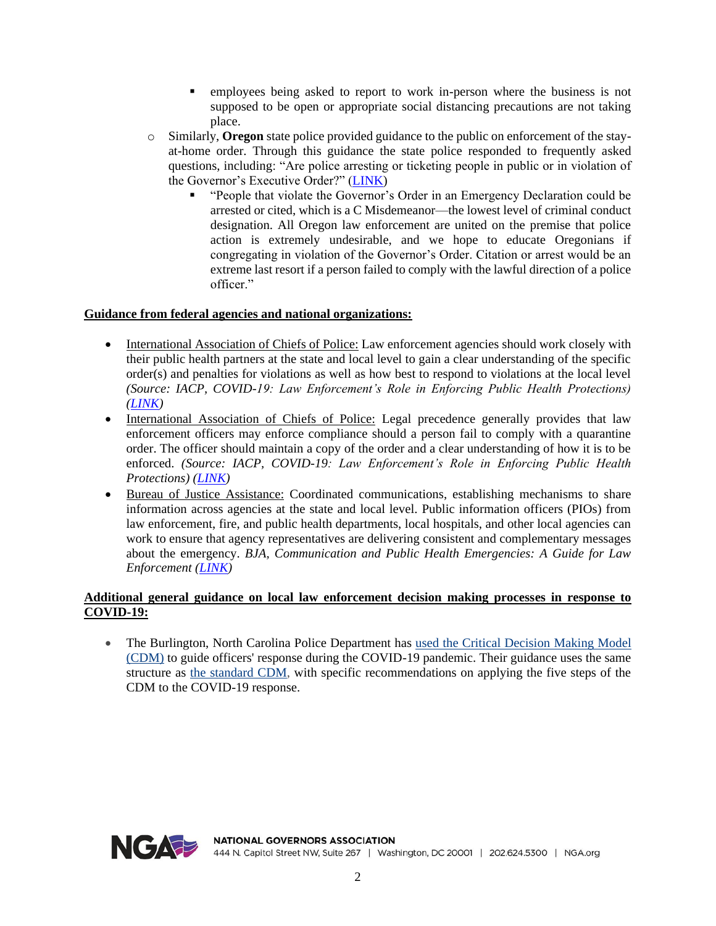- employees being asked to report to work in-person where the business is not supposed to be open or appropriate social distancing precautions are not taking place.
- o Similarly, **Oregon** state police provided guidance to the public on enforcement of the stayat-home order. Through this guidance the state police responded to frequently asked questions, including: "Are police arresting or ticketing people in public or in violation of the Governor's Executive Order?" [\(LINK\)](https://katu.com/news/local/oregon-state-police-answers-faqs-related-to-stay-at-home-order)
	- "People that violate the Governor's Order in an Emergency Declaration could be arrested or cited, which is a C Misdemeanor—the lowest level of criminal conduct designation. All Oregon law enforcement are united on the premise that police action is extremely undesirable, and we hope to educate Oregonians if congregating in violation of the Governor's Order. Citation or arrest would be an extreme last resort if a person failed to comply with the lawful direction of a police officer."

### **Guidance from federal agencies and national organizations:**

- International Association of Chiefs of Police: Law enforcement agencies should work closely with their public health partners at the state and local level to gain a clear understanding of the specific order(s) and penalties for violations as well as how best to respond to violations at the local level *(Source: IACP, COVID-19: Law Enforcement's Role in Enforcing Public Health Protections) [\(LINK\)](https://www.theiacp.org/sites/default/files/IACP_Covid-19_Enforce_Protections.pdf)*
- International Association of Chiefs of Police: Legal precedence generally provides that law enforcement officers may enforce compliance should a person fail to comply with a quarantine order. The officer should maintain a copy of the order and a clear understanding of how it is to be enforced. *(Source: IACP, COVID-19: Law Enforcement's Role in Enforcing Public Health Protections) [\(LINK\)](https://www.theiacp.org/sites/default/files/IACP_Covid-19_Enforce_Protections.pdf)*
- Bureau of Justice Assistance: Coordinated communications, establishing mechanisms to share information across agencies at the state and local level. Public information officers (PIOs) from law enforcement, fire, and public health departments, local hospitals, and other local agencies can work to ensure that agency representatives are delivering consistent and complementary messages about the emergency. *BJA, Communication and Public Health Emergencies: A Guide for Law Enforcement [\(LINK\)](https://bja.ojp.gov/sites/g/files/xyckuh186/files/Publications/PERF_Emer_Comm.pdf)*

### **Additional general guidance on local law enforcement decision making processes in response to COVID-19:**

• The Burlington, North Carolina Police Department has used the Critical [Decision](https://www.policeforum.org/assets/BurlingtonPDCDM.pdf) Making Mode[l](https://www.policeforum.org/assets/BurlingtonPDCDM.pdf) [\(CDM\)](https://www.policeforum.org/assets/BurlingtonPDCDM.pdf) to guide officers' response during the COVID-19 pandemic. Their guidance uses the same structure as the [standard](https://www.policeforum.org/icat-module-2) CDM, with specific recommendations on applying the five steps of the CDM to the COVID-19 response.

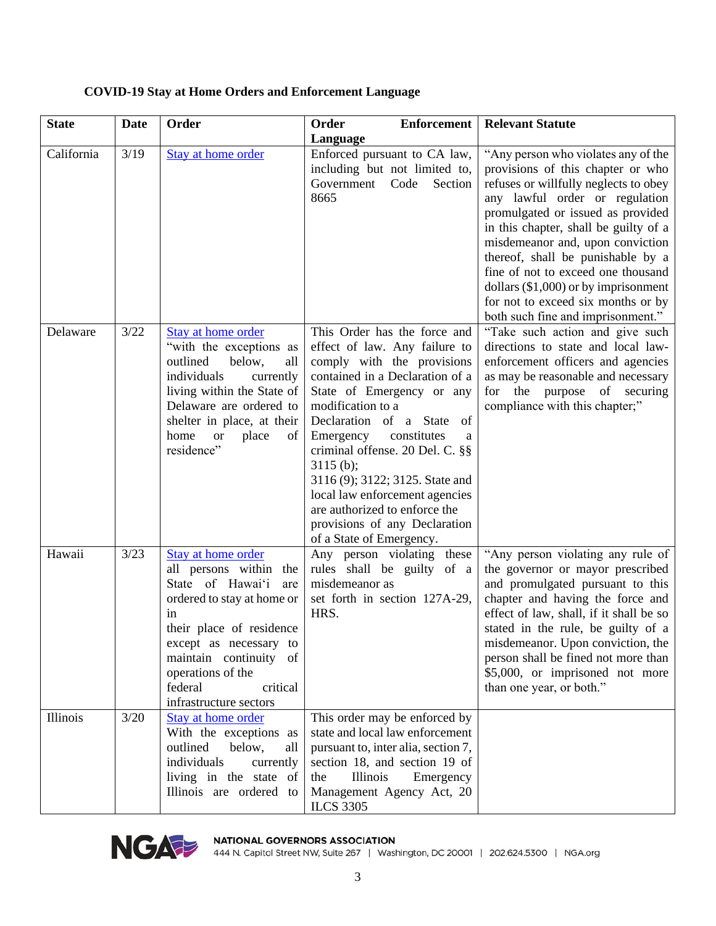| <b>State</b> | <b>Date</b> | Order                                                                                                                                                                                                                                                             | <b>Enforcement</b><br>Order                                                                                                                                                                                                                                                                                                                                                                                                                                           | <b>Relevant Statute</b>                                                                                                                                                                                                                                                                                                                                                                                                                                             |
|--------------|-------------|-------------------------------------------------------------------------------------------------------------------------------------------------------------------------------------------------------------------------------------------------------------------|-----------------------------------------------------------------------------------------------------------------------------------------------------------------------------------------------------------------------------------------------------------------------------------------------------------------------------------------------------------------------------------------------------------------------------------------------------------------------|---------------------------------------------------------------------------------------------------------------------------------------------------------------------------------------------------------------------------------------------------------------------------------------------------------------------------------------------------------------------------------------------------------------------------------------------------------------------|
| California   | 3/19        | <b>Stay at home order</b>                                                                                                                                                                                                                                         | Language<br>Enforced pursuant to CA law,<br>including but not limited to,<br>Government<br>Code<br>Section<br>8665                                                                                                                                                                                                                                                                                                                                                    | "Any person who violates any of the<br>provisions of this chapter or who<br>refuses or willfully neglects to obey<br>any lawful order or regulation<br>promulgated or issued as provided<br>in this chapter, shall be guilty of a<br>misdemeanor and, upon conviction<br>thereof, shall be punishable by a<br>fine of not to exceed one thousand<br>dollars (\$1,000) or by imprisonment<br>for not to exceed six months or by<br>both such fine and imprisonment." |
| Delaware     | $3/22$      | Stay at home order<br>"with the exceptions as<br>outlined<br>below,<br>all<br>individuals<br>currently<br>living within the State of<br>Delaware are ordered to<br>shelter in place, at their<br>home<br>place<br><b>or</b><br>of<br>residence"                   | This Order has the force and<br>effect of law. Any failure to<br>comply with the provisions<br>contained in a Declaration of a<br>State of Emergency or any<br>modification to a<br>Declaration of a State<br>- of<br>Emergency<br>constitutes<br>a<br>criminal offense. 20 Del. C. §§<br>3115(b);<br>3116 (9); 3122; 3125. State and<br>local law enforcement agencies<br>are authorized to enforce the<br>provisions of any Declaration<br>of a State of Emergency. | "Take such action and give such<br>directions to state and local law-<br>enforcement officers and agencies<br>as may be reasonable and necessary<br>for the purpose of securing<br>compliance with this chapter;"                                                                                                                                                                                                                                                   |
| Hawaii       | 3/23        | Stay at home order<br>all persons within the<br>State of Hawai'i<br>are<br>ordered to stay at home or<br>in<br>their place of residence<br>except as necessary to<br>maintain continuity of<br>operations of the<br>federal<br>critical<br>infrastructure sectors | Any person violating these<br>rules shall be guilty of a<br>misdemeanor as<br>set forth in section 127A-29,<br>HRS.                                                                                                                                                                                                                                                                                                                                                   | "Any person violating any rule of<br>the governor or mayor prescribed<br>and promulgated pursuant to this<br>chapter and having the force and<br>effect of law, shall, if it shall be so<br>stated in the rule, be guilty of a<br>misdemeanor. Upon conviction, the<br>person shall be fined not more than<br>\$5,000, or imprisoned not more<br>than one year, or both."                                                                                           |
| Illinois     | 3/20        | Stay at home order<br>With the exceptions as<br>outlined<br>below,<br>all<br>individuals<br>currently<br>living in the state of<br>Illinois are ordered to                                                                                                        | This order may be enforced by<br>state and local law enforcement<br>pursuant to, inter alia, section 7,<br>section 18, and section 19 of<br>Illinois<br>the<br>Emergency<br>Management Agency Act, 20<br><b>ILCS 3305</b>                                                                                                                                                                                                                                             |                                                                                                                                                                                                                                                                                                                                                                                                                                                                     |

# **COVID-19 Stay at Home Orders and Enforcement Language**



NGA PER MATIONAL GOVERNORS ASSOCIATION<br>444 N. Capitol Street NW, Suite 267 | Washington, DC 20001 | 202.624.5300 | NGA.org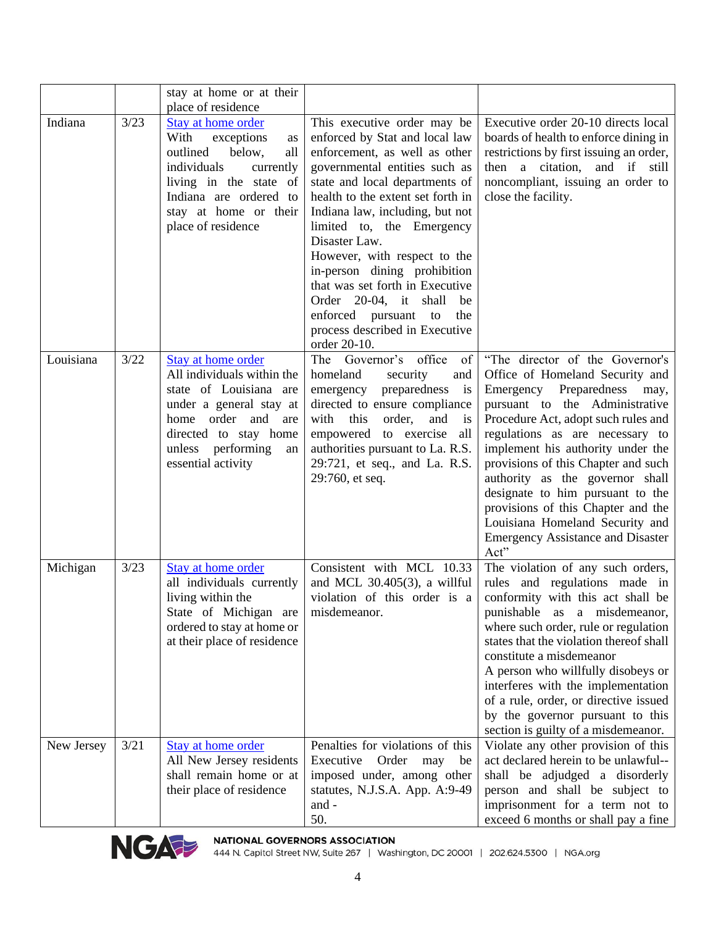|            |      | stay at home or at their<br>place of residence                                                                                                                                                                 |                                                                                                                                                                                                                                                                                                                                                                                                                                                                                                               |                                                                                                                                                                                                                                                                                                                                                                                                                                                                                                  |
|------------|------|----------------------------------------------------------------------------------------------------------------------------------------------------------------------------------------------------------------|---------------------------------------------------------------------------------------------------------------------------------------------------------------------------------------------------------------------------------------------------------------------------------------------------------------------------------------------------------------------------------------------------------------------------------------------------------------------------------------------------------------|--------------------------------------------------------------------------------------------------------------------------------------------------------------------------------------------------------------------------------------------------------------------------------------------------------------------------------------------------------------------------------------------------------------------------------------------------------------------------------------------------|
| Indiana    | 3/23 | Stay at home order<br>With<br>exceptions<br>as<br>outlined<br>all<br>below,<br>individuals<br>currently<br>living in the state of<br>Indiana are ordered to<br>stay at home or their<br>place of residence     | This executive order may be<br>enforced by Stat and local law<br>enforcement, as well as other<br>governmental entities such as<br>state and local departments of<br>health to the extent set forth in<br>Indiana law, including, but not<br>limited to, the Emergency<br>Disaster Law.<br>However, with respect to the<br>in-person dining prohibition<br>that was set forth in Executive<br>Order 20-04, it shall<br>be<br>enforced pursuant<br>the<br>to<br>process described in Executive<br>order 20-10. | Executive order 20-10 directs local<br>boards of health to enforce dining in<br>restrictions by first issuing an order,<br>then a citation, and if still<br>noncompliant, issuing an order to<br>close the facility.                                                                                                                                                                                                                                                                             |
| Louisiana  | 3/22 | Stay at home order<br>All individuals within the<br>state of Louisiana are<br>under a general stay at<br>order<br>home<br>and<br>are<br>directed to stay home<br>unless performing<br>an<br>essential activity | office<br>The Governor's<br>of<br>homeland<br>security<br>and<br>emergency<br>preparedness<br>is<br>directed to ensure compliance<br>with<br>order,<br>this<br>and<br>is<br>empowered to exercise<br>all<br>authorities pursuant to La. R.S.<br>29:721, et seq., and La. R.S.<br>29:760, et seq.                                                                                                                                                                                                              | "The director of the Governor's<br>Office of Homeland Security and<br>Emergency Preparedness<br>may,<br>pursuant to the Administrative<br>Procedure Act, adopt such rules and<br>regulations as are necessary to<br>implement his authority under the<br>provisions of this Chapter and such<br>authority as the governor shall<br>designate to him pursuant to the<br>provisions of this Chapter and the<br>Louisiana Homeland Security and<br><b>Emergency Assistance and Disaster</b><br>Act" |
| Michigan   | 3/23 | Stay at home order<br>all individuals currently<br>living within the<br>State of Michigan are<br>ordered to stay at home or<br>at their place of residence                                                     | Consistent with MCL 10.33<br>and MCL $30.405(3)$ , a willful<br>violation of this order is a<br>misdemeanor.                                                                                                                                                                                                                                                                                                                                                                                                  | The violation of any such orders,<br>rules and regulations made in<br>conformity with this act shall be<br>punishable as a misdemeanor,<br>where such order, rule or regulation<br>states that the violation thereof shall<br>constitute a misdemeanor<br>A person who willfully disobeys or<br>interferes with the implementation<br>of a rule, order, or directive issued<br>by the governor pursuant to this<br>section is guilty of a misdemeanor.                                           |
| New Jersey | 3/21 | Stay at home order<br>All New Jersey residents<br>shall remain home or at<br>their place of residence                                                                                                          | Penalties for violations of this<br>Executive Order may<br>be<br>imposed under, among other<br>statutes, N.J.S.A. App. A:9-49<br>and -<br>50.                                                                                                                                                                                                                                                                                                                                                                 | Violate any other provision of this<br>act declared herein to be unlawful--<br>shall be adjudged a disorderly<br>person and shall be subject to<br>imprisonment for a term not to<br>exceed 6 months or shall pay a fine                                                                                                                                                                                                                                                                         |



NGA PER MATIONAL GOVERNORS ASSOCIATION<br>444 N. Capitol Street NW, Suite 267 | Washington, DC 20001 | 202.624.5300 | NGA.org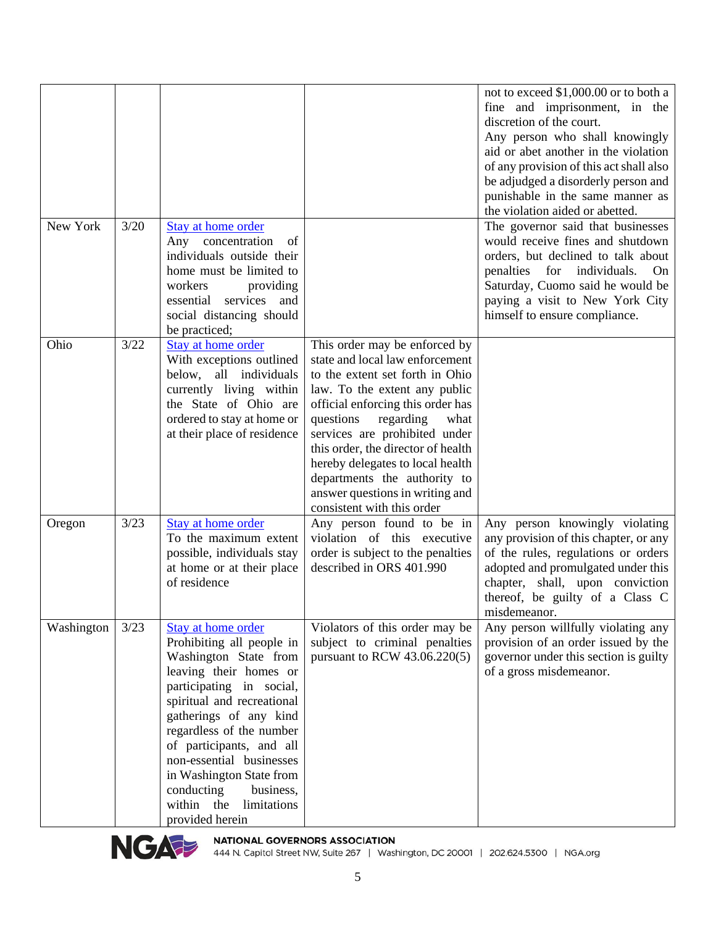|            |      |                                                                                                                                                                                                                                                                                                                                                                                      |                                                                                                                                                                                                                                                                                                                                                                                                                         | not to exceed \$1,000.00 or to both a<br>fine and imprisonment, in the<br>discretion of the court.<br>Any person who shall knowingly<br>aid or abet another in the violation<br>of any provision of this act shall also<br>be adjudged a disorderly person and<br>punishable in the same manner as<br>the violation aided or abetted. |
|------------|------|--------------------------------------------------------------------------------------------------------------------------------------------------------------------------------------------------------------------------------------------------------------------------------------------------------------------------------------------------------------------------------------|-------------------------------------------------------------------------------------------------------------------------------------------------------------------------------------------------------------------------------------------------------------------------------------------------------------------------------------------------------------------------------------------------------------------------|---------------------------------------------------------------------------------------------------------------------------------------------------------------------------------------------------------------------------------------------------------------------------------------------------------------------------------------|
| New York   | 3/20 | Stay at home order<br>Any concentration<br>of<br>individuals outside their<br>home must be limited to<br>workers<br>providing<br>services and<br>essential<br>social distancing should<br>be practiced;                                                                                                                                                                              |                                                                                                                                                                                                                                                                                                                                                                                                                         | The governor said that businesses<br>would receive fines and shutdown<br>orders, but declined to talk about<br>penalties for individuals.<br>On<br>Saturday, Cuomo said he would be<br>paying a visit to New York City<br>himself to ensure compliance.                                                                               |
| Ohio       | 3/22 | Stay at home order<br>With exceptions outlined<br>below, all individuals<br>currently living within<br>the State of Ohio are<br>ordered to stay at home or<br>at their place of residence                                                                                                                                                                                            | This order may be enforced by<br>state and local law enforcement<br>to the extent set forth in Ohio<br>law. To the extent any public<br>official enforcing this order has<br>questions<br>regarding<br>what<br>services are prohibited under<br>this order, the director of health<br>hereby delegates to local health<br>departments the authority to<br>answer questions in writing and<br>consistent with this order |                                                                                                                                                                                                                                                                                                                                       |
| Oregon     | 3/23 | Stay at home order<br>To the maximum extent<br>possible, individuals stay<br>at home or at their place<br>of residence                                                                                                                                                                                                                                                               | Any person found to be in<br>violation of this executive<br>order is subject to the penalties<br>described in ORS 401.990                                                                                                                                                                                                                                                                                               | Any person knowingly violating<br>any provision of this chapter, or any<br>of the rules, regulations or orders<br>adopted and promulgated under this<br>chapter, shall, upon conviction<br>thereof, be guilty of a Class C<br>misdemeanor.                                                                                            |
| Washington | 3/23 | Stay at home order<br>Prohibiting all people in<br>Washington State from<br>leaving their homes or<br>participating in social,<br>spiritual and recreational<br>gatherings of any kind<br>regardless of the number<br>of participants, and all<br>non-essential businesses<br>in Washington State from<br>conducting<br>business,<br>the<br>within<br>limitations<br>provided herein | Violators of this order may be<br>subject to criminal penalties<br>pursuant to RCW 43.06.220(5)                                                                                                                                                                                                                                                                                                                         | Any person willfully violating any<br>provision of an order issued by the<br>governor under this section is guilty<br>of a gross misdemeanor.                                                                                                                                                                                         |



NGA PER MATIONAL GOVERNORS ASSOCIATION<br>444 N. Capitol Street NW, Suite 267 | Washington, DC 20001 | 202.624.5300 | NGA.org